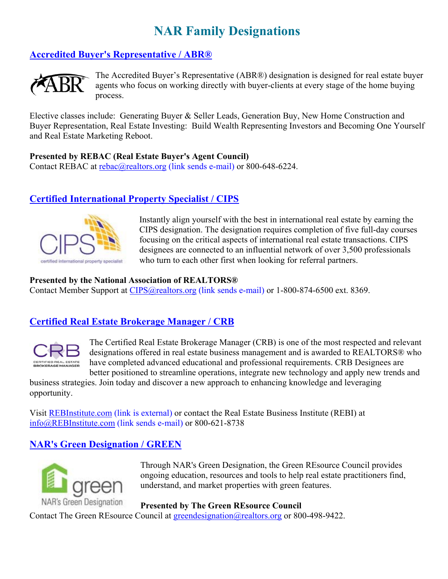# **NAR Family Designations**

## **Accredited Buyer's Representative / ABR®**



The Accredited Buyer's Representative (ABR®) designation is designed for real estate buyer agents who focus on working directly with buyer-clients at every stage of the home buying process.

Elective classes include: Generating Buyer & Seller Leads, Generation Buy, New Home Construction and Buyer Representation, Real Estate Investing: Build Wealth Representing Investors and Becoming One Yourself and Real Estate Marketing Reboot.

#### **Presented by REBAC (Real Estate Buyer's Agent Council)**

Contact REBAC at rebac@realtors.org (link sends e-mail) or 800-648-6224.

## **Certified International Property Specialist / CIPS**



Instantly align yourself with the best in international real estate by earning the CIPS designation. The designation requires completion of five full-day courses focusing on the critical aspects of international real estate transactions. CIPS designees are connected to an influential network of over 3,500 professionals who turn to each other first when looking for referral partners.

#### **Presented by the National Association of REALTORS®**

Contact Member Support at CIPS@realtors.org (link sends e-mail) or 1-800-874-6500 ext. 8369.

## **Certified Real Estate Brokerage Manager / CRB**



The Certified Real Estate Brokerage Manager (CRB) is one of the most respected and relevant designations offered in real estate business management and is awarded to REALTORS® who have completed advanced educational and professional requirements. CRB Designees are better positioned to streamline operations, integrate new technology and apply new trends and

business strategies. Join today and discover a new approach to enhancing knowledge and leveraging opportunity.

Visit REBInstitute.com (link is external) or contact the Real Estate Business Institute (REBI) at info@REBInstitute.com (link sends e-mail) or 800-621-8738

## **NAR's Green Designation / GREEN**



Through NAR's Green Designation, the Green REsource Council provides ongoing education, resources and tools to help real estate practitioners find, understand, and market properties with green features.

**Presented by The Green REsource Council** Contact The Green REsource Council at greendesignation@realtors.org or 800-498-9422.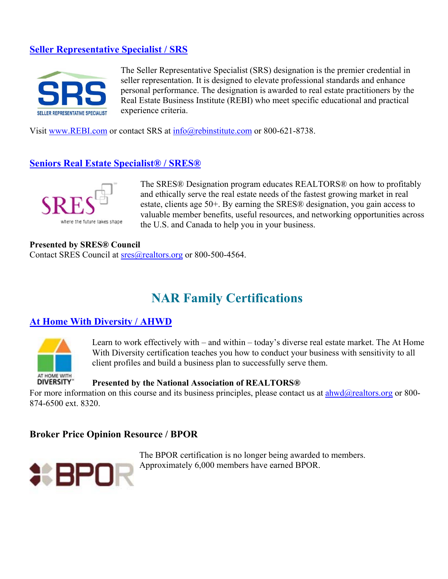## **Seller Representative Specialist / SRS**



The Seller Representative Specialist (SRS) designation is the premier credential in seller representation. It is designed to elevate professional standards and enhance personal performance. The designation is awarded to real estate practitioners by the Real Estate Business Institute (REBI) who meet specific educational and practical experience criteria.

Visit www.REBI.com or contact SRS at  $\frac{info}{Q}$ rebinstitute.com or 800-621-8738.

#### **Seniors Real Estate Specialist® / SRES®**



The SRES® Designation program educates REALTORS® on how to profitably and ethically serve the real estate needs of the fastest growing market in real estate, clients age 50+. By earning the SRES® designation, you gain access to valuable member benefits, useful resources, and networking opportunities across the U.S. and Canada to help you in your business.

#### **Presented by SRES® Council**

Contact SRES Council at  $sres(\hat{\omega})$  realtors.org or 800-500-4564.

# **NAR Family Certifications**

#### **At Home With Diversity / AHWD**



Learn to work effectively with – and within – today's diverse real estate market. The At Home With Diversity certification teaches you how to conduct your business with sensitivity to all client profiles and build a business plan to successfully serve them.

#### **Presented by the National Association of REALTORS®**

For more information on this course and its business principles, please contact us at  $\frac{ahwd@realtors.org}{am}$  or 800-874-6500 ext. 8320.

## **Broker Price Opinion Resource / BPOR**



The BPOR certification is no longer being awarded to members. Approximately 6,000 members have earned BPOR.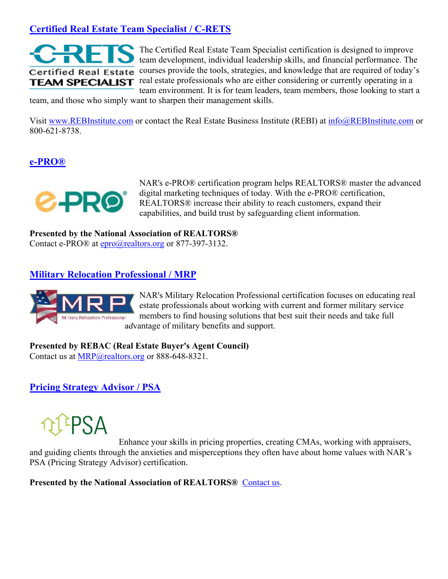## **Certified Real Estate Team Specialist / C-RETS**



The Certified Real Estate Team Specialist certification is designed to improve team development, individual leadership skills, and financial performance. The courses provide the tools, strategies, and knowledge that are required of today's real estate professionals who are either considering or currently operating in a team environment. It is for team leaders, team members, those looking to start a

team, and those who simply want to sharpen their management skills.

Visit www.REBInstitute.com or contact the Real Estate Business Institute (REBI) at info@REBInstitute.com or 800-621-8738.

### **e-PRO®**



NAR's e-PRO® certification program helps REALTORS® master the advanced digital marketing techniques of today. With the e-PRO® certification, REALTORS® increase their ability to reach customers, expand their capabilities, and build trust by safeguarding client information.

**Presented by the National Association of REALTORS®** Contact e-PRO® at epro@realtors.org or 877-397-3132.

### **Military Relocation Professional / MRP**



NAR's Military Relocation Professional certification focuses on educating real estate professionals about working with current and former military service members to find housing solutions that best suit their needs and take full advantage of military benefits and support.

#### **Presented by REBAC (Real Estate Buyer's Agent Council)**

Contact us at MRP@realtors.org or 888-648-8321.

**Pricing Strategy Advisor / PSA**



Enhance your skills in pricing properties, creating CMAs, working with appraisers, and guiding clients through the anxieties and misperceptions they often have about home values with NAR's PSA (Pricing Strategy Advisor) certification.

**Presented by the National Association of REALTORS®** Contact us.